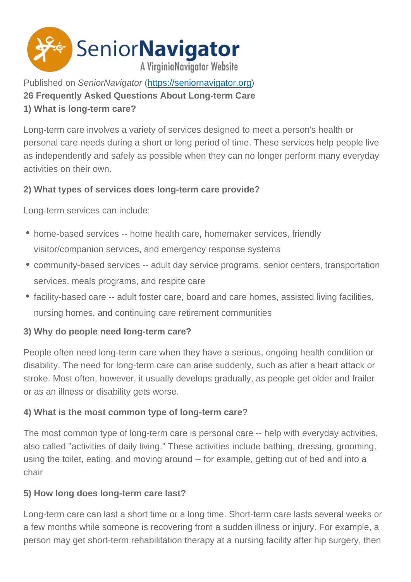Published on SeniorNavigator (https://seniornavigator.org) 26 Frequently Asked Questions About Long-term Care 1) What is long-term care?

Long-term care involves a variety of services designed to meet a person's health or personal care needs during a short or long period of time. These services help people live as independently and safely as possible when they can no longer perform many everyday activities on their own.

2) What types of services does long-term care provide?

Long-term services can include:

- home-based services -- home health care, homemaker services, friendly visitor/companion services, and emergency response systems
- community-based services -- adult day service programs, senior centers, transportation services, meals programs, and respite care
- facility-based care -- adult foster care, board and care homes, assisted living facilities, nursing homes, and continuing care retirement communities
- 3) Why do people need long-term care?

People often need long-term care when they have a serious, ongoing health condition or disability. The need for long-term care can arise suddenly, such as after a heart attack or stroke. Most often, however, it usually develops gradually, as people get older and frailer or as an illness or disability gets worse.

4) What is the most common type of long-term care?

The most common type of long-term care is personal care -- help with everyday activities, also called "activities of daily living." These activities include bathing, dressing, grooming, using the toilet, eating, and moving around -- for example, getting out of bed and into a chair

5) How long does long-term care last?

Long-term care can last a short time or a long time. Short-term care lasts several weeks or a few months while someone is recovering from a sudden illness or injury. For example, a person may get short-term rehabilitation therapy at a nursing facility after hip surgery, then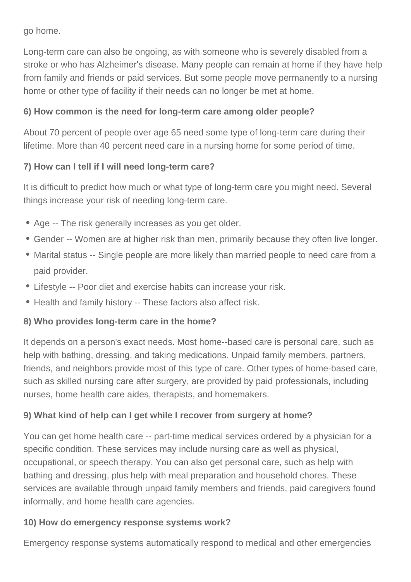go home.

Long-term care can also be ongoing, as with someone who is severely disabled from a stroke or who has Alzheimer's disease. Many people can remain at home if they have help from family and friends or paid services. But some people move permanently to a nursing home or other type of facility if their needs can no longer be met at home.

# **6) How common is the need for long-term care among older people?**

About 70 percent of people over age 65 need some type of long-term care during their lifetime. More than 40 percent need care in a nursing home for some period of time.

# **7) How can I tell if I will need long-term care?**

It is difficult to predict how much or what type of long-term care you might need. Several things increase your risk of needing long-term care.

- Age -- The risk generally increases as you get older.
- Gender -- Women are at higher risk than men, primarily because they often live longer.
- Marital status -- Single people are more likely than married people to need care from a paid provider.
- Lifestyle -- Poor diet and exercise habits can increase your risk.
- Health and family history -- These factors also affect risk.

# **8) Who provides long-term care in the home?**

It depends on a person's exact needs. Most home--based care is personal care, such as help with bathing, dressing, and taking medications. Unpaid family members, partners, friends, and neighbors provide most of this type of care. Other types of home-based care, such as skilled nursing care after surgery, are provided by paid professionals, including nurses, home health care aides, therapists, and homemakers.

# **9) What kind of help can I get while I recover from surgery at home?**

You can get home health care -- part-time medical services ordered by a physician for a specific condition. These services may include nursing care as well as physical, occupational, or speech therapy. You can also get personal care, such as help with bathing and dressing, plus help with meal preparation and household chores. These services are available through unpaid family members and friends, paid caregivers found informally, and home health care agencies.

## **10) How do emergency response systems work?**

Emergency response systems automatically respond to medical and other emergencies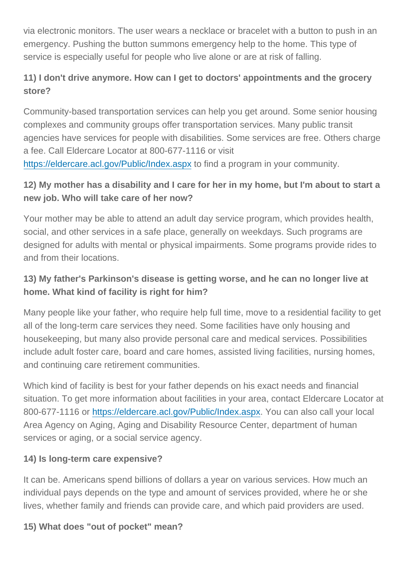emergency. Pushing the button summons emergency help to the home. This type of service is especially useful for people who live alone or are at risk of falling.

via electronic monitors. The user wears a necklace or bracelet with a button to push in an anti-

11) I don't drive anymore. How can I get to doctors' appointments and the grocery store?

Community-based transportation services can help you get around. Some senior housing complexes and community groups offer transportation services. Many public transit agencies have services for people with disabilities. Some services are free. Others charge a fee. Call Eldercare Locator at 800-677-1116 or visit https://eldercare.acl.gov/Public/Index.aspx to find a program in your community.

12) My mother has a disability and I care for her in my home, but I'm about to start a [new job. Who will take care of her now?](https://eldercare.acl.gov/Public/Index.aspx)

Your mother may be able to attend an adult day service program, which provides health, social, and other services in a safe place, generally on weekdays. Such programs are designed for adults with mental or physical impairments. Some programs provide rides to and from their locations.

13) My father's Parkinson's disease is getting worse, and he can no longer live at home. What kind of facility is right for him?

Many people like your father, who require help full time, move to a residential facility to get all of the long-term care services they need. Some facilities have only housing and housekeeping, but many also provide personal care and medical services. Possibilities include adult foster care, board and care homes, assisted living facilities, nursing homes, and continuing care retirement communities.

Which kind of facility is best for your father depends on his exact needs and financial situation. To get more information about facilities in your area, contact Eldercare Locator at 800-677-1116 or https://eldercare.acl.gov/Public/Index.aspx. You can also call your local Area Agency on Aging, Aging and Disability Resource Center, department of human services or aging[, or a social service agency.](https://eldercare.acl.gov/Public/Index.aspx) 

14) Is long-term care expensive?

It can be. Americans spend billions of dollars a year on various services. How much an individual pays depends on the type and amount of services provided, where he or she lives, whether family and friends can provide care, and which paid providers are used.

15) What does "out of pocket" mean?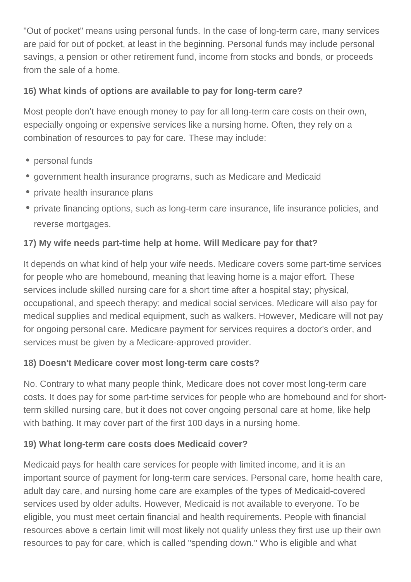"Out of pocket" means using personal funds. In the case of long-term care, many services are paid for out of pocket, at least in the beginning. Personal funds may include personal savings, a pension or other retirement fund, income from stocks and bonds, or proceeds from the sale of a home.

# **16) What kinds of options are available to pay for long-term care?**

Most people don't have enough money to pay for all long-term care costs on their own, especially ongoing or expensive services like a nursing home. Often, they rely on a combination of resources to pay for care. These may include:

- personal funds
- government health insurance programs, such as Medicare and Medicaid
- private health insurance plans
- private financing options, such as long-term care insurance, life insurance policies, and reverse mortgages.

# **17) My wife needs part-time help at home. Will Medicare pay for that?**

It depends on what kind of help your wife needs. Medicare covers some part-time services for people who are homebound, meaning that leaving home is a major effort. These services include skilled nursing care for a short time after a hospital stay; physical, occupational, and speech therapy; and medical social services. Medicare will also pay for medical supplies and medical equipment, such as walkers. However, Medicare will not pay for ongoing personal care. Medicare payment for services requires a doctor's order, and services must be given by a Medicare-approved provider.

## **18) Doesn't Medicare cover most long-term care costs?**

No. Contrary to what many people think, Medicare does not cover most long-term care costs. It does pay for some part-time services for people who are homebound and for shortterm skilled nursing care, but it does not cover ongoing personal care at home, like help with bathing. It may cover part of the first 100 days in a nursing home.

## **19) What long-term care costs does Medicaid cover?**

Medicaid pays for health care services for people with limited income, and it is an important source of payment for long-term care services. Personal care, home health care, adult day care, and nursing home care are examples of the types of Medicaid-covered services used by older adults. However, Medicaid is not available to everyone. To be eligible, you must meet certain financial and health requirements. People with financial resources above a certain limit will most likely not qualify unless they first use up their own resources to pay for care, which is called "spending down." Who is eligible and what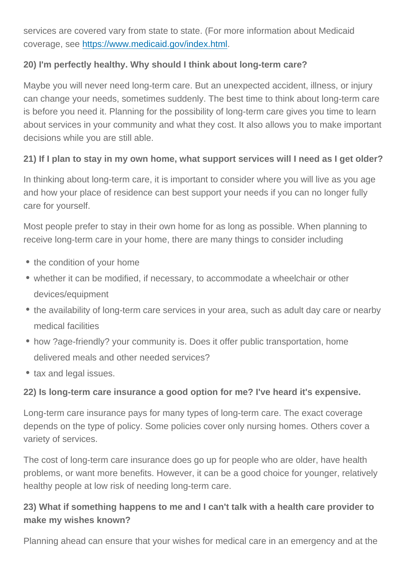services are covered vary from state to state to state to state to state to state to state  $\mathcal{L}$ coverage, see https://www.medicaid.gov/index.html.

20) I'm perfectly healthy. Why should I think about long-term care?

Maybe you will never need long-term care. But an unexpected accident, illness, or injury can change your needs, sometimes suddenly. The best time to think about long-term care is before you need it. Planning for the possibility of long-term care gives you time to learn about services in your community and what they cost. It also allows you to make important decisions while you are still able.

21) If I plan to stay in my own home, what support services will I need as I get older?

In thinking about long-term care, it is important to consider where you will live as you age and how your place of residence can best support your needs if you can no longer fully care for yourself.

Most people prefer to stay in their own home for as long as possible. When planning to receive long-term care in your home, there are many things to consider including

- the condition of your home
- whether it can be modified, if necessary, to accommodate a wheelchair or other devices/equipment
- the availability of long-term care services in your area, such as adult day care or nearby medical facilities
- how ?age-friendly? your community is. Does it offer public transportation, home delivered meals and other needed services?
- tax and legal issues.

22) Is long-term care insurance a good option for me? I've heard it's expensive.

Long-term care insurance pays for many types of long-term care. The exact coverage depends on the type of policy. Some policies cover only nursing homes. Others cover a variety of services.

The cost of long-term care insurance does go up for people who are older, have health problems, or want more benefits. However, it can be a good choice for younger, relatively healthy people at low risk of needing long-term care.

23) What if something happens to me and I can't talk with a health care provider to make my wishes known?

Planning ahead can ensure that your wishes for medical care in an emergency and at the